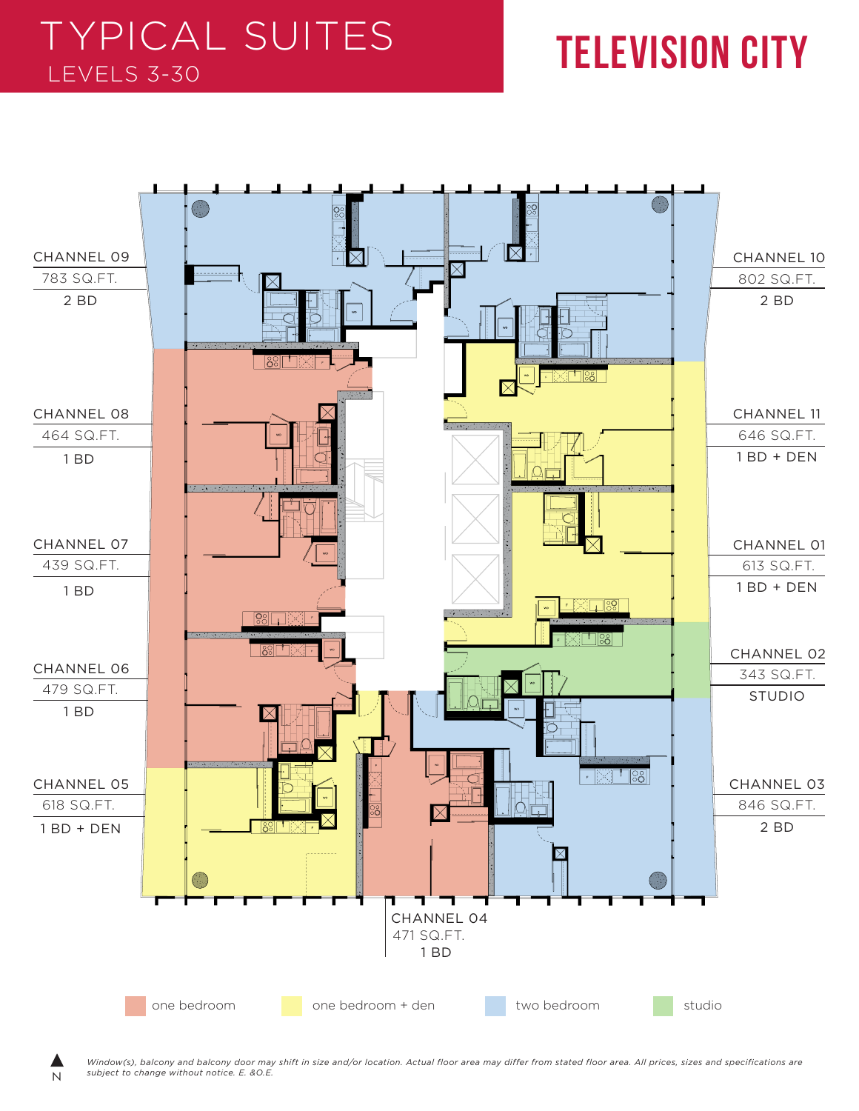## TYPICAL SUITES LEVELS 3-30 **TELEVISION CITY**



N